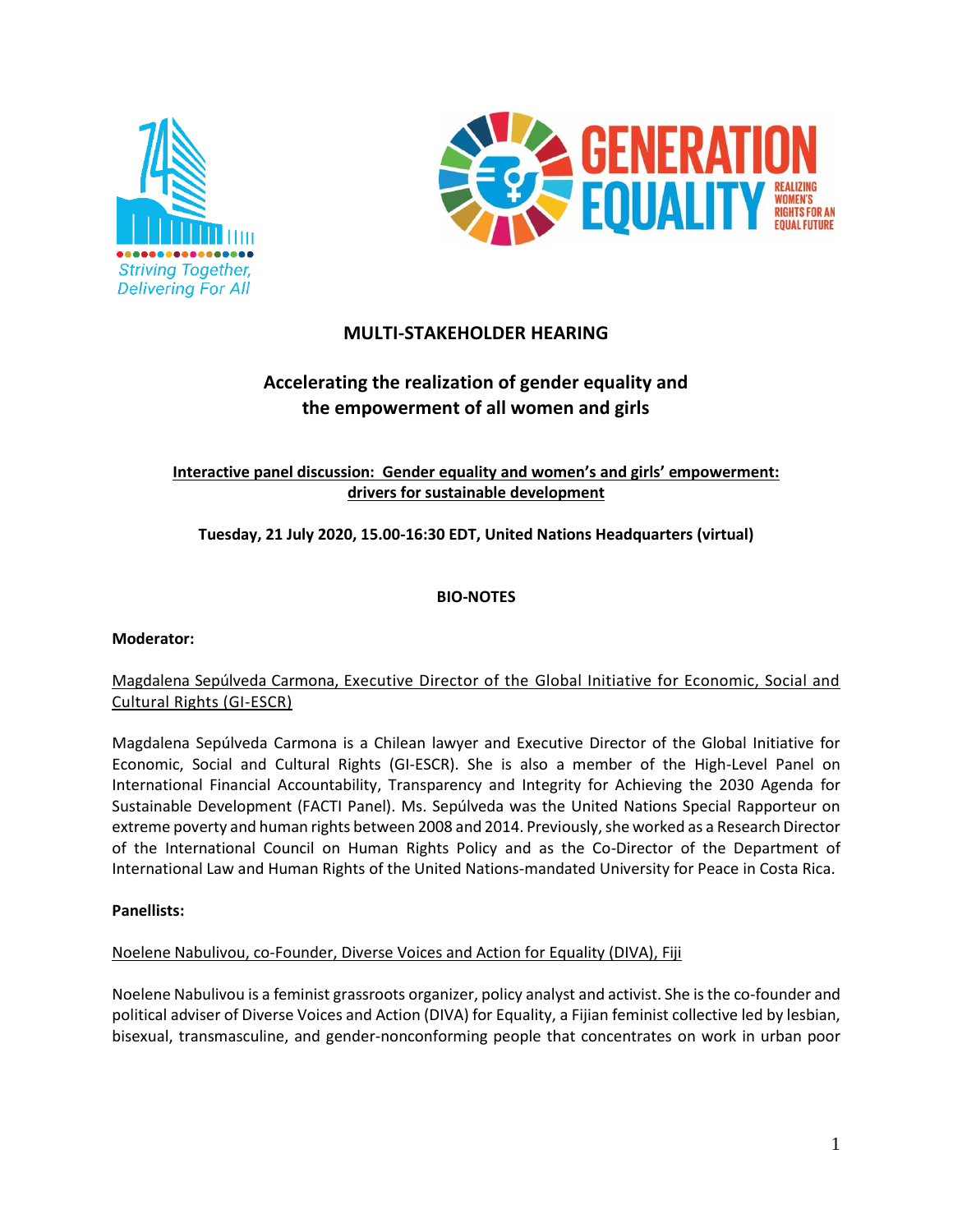



# **MULTI-STAKEHOLDER HEARING**

# **Accelerating the realization of gender equality and the empowerment of all women and girls**

# **Interactive panel discussion: Gender equality and women's and girls' empowerment: drivers for sustainable development**

# **Tuesday, 21 July 2020, 15.00-16:30 EDT, United Nations Headquarters (virtual)**

#### **BIO-NOTES**

#### **Moderator:**

## Magdalena Sepúlveda Carmona, Executive Director of the Global Initiative for Economic, Social and Cultural Rights (GI-ESCR)

Magdalena Sepúlveda Carmona is a Chilean lawyer and Executive Director of the Global Initiative for Economic, Social and Cultural Rights (GI-ESCR). She is also a member of the High-Level Panel on International Financial Accountability, Transparency and Integrity for Achieving the 2030 Agenda for Sustainable Development (FACTI Panel). Ms. Sepúlveda was the United Nations Special Rapporteur on extreme poverty and human rights between 2008 and 2014. Previously, she worked as a Research Director of the International Council on Human Rights Policy and as the Co-Director of the Department of International Law and Human Rights of the United Nations-mandated University for Peace in Costa Rica.

#### **Panellists:**

#### Noelene Nabulivou, co-Founder, Diverse Voices and Action for Equality (DIVA), Fiji

Noelene Nabulivou is a feminist grassroots organizer, policy analyst and activist. She is the co-founder and political adviser of Diverse Voices and Action (DIVA) for Equality, a Fijian feminist collective led by lesbian, bisexual, transmasculine, and gender-nonconforming people that concentrates on work in urban poor